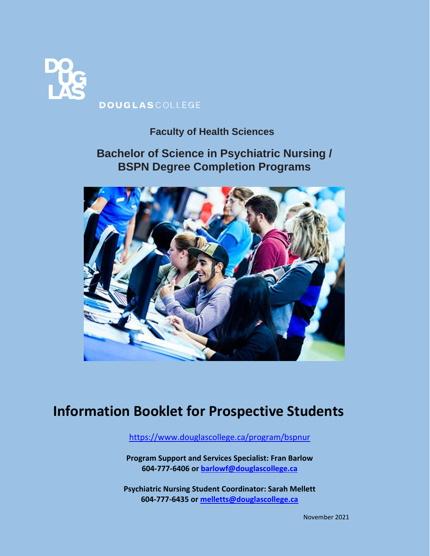

## **Faculty of Health Sciences**

## **Bachelor of Science in Psychiatric Nursing / BSPN Degree Completion Programs**



# **Information Booklet for Prospective Students**

<https://www.douglascollege.ca/program/bspnur>

**Program Support and Services Specialist: Fran Barlow 604-777-6406 or [barlowf@douglascollege.ca](mailto:barlowf@douglascollege.ca)**

**Psychiatric Nursing Student Coordinator: Sarah Mellett 604-777-6435 or [melletts@douglascollege.ca](mailto:melletts@douglascollege.ca)**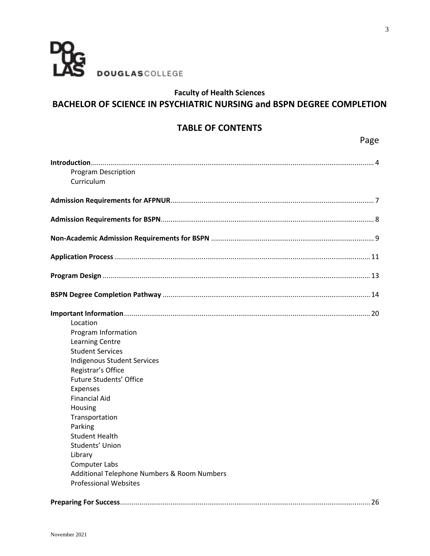

## **Faculty of Health Sciences BACHELOR OF SCIENCE IN PSYCHIATRIC NURSING and BSPN DEGREE COMPLETION**

## **TABLE OF CONTENTS**

| <b>Program Description</b>                  |  |
|---------------------------------------------|--|
| Curriculum                                  |  |
|                                             |  |
|                                             |  |
|                                             |  |
|                                             |  |
|                                             |  |
|                                             |  |
|                                             |  |
|                                             |  |
| Location                                    |  |
| Program Information                         |  |
| <b>Learning Centre</b>                      |  |
| <b>Student Services</b>                     |  |
| <b>Indigenous Student Services</b>          |  |
| Registrar's Office                          |  |
| <b>Future Students' Office</b>              |  |
| Expenses                                    |  |
| <b>Financial Aid</b>                        |  |
| Housing                                     |  |
| Transportation                              |  |
| Parking                                     |  |
| <b>Student Health</b>                       |  |
| Students' Union                             |  |
| Library                                     |  |
| <b>Computer Labs</b>                        |  |
| Additional Telephone Numbers & Room Numbers |  |
| <b>Professional Websites</b>                |  |

Page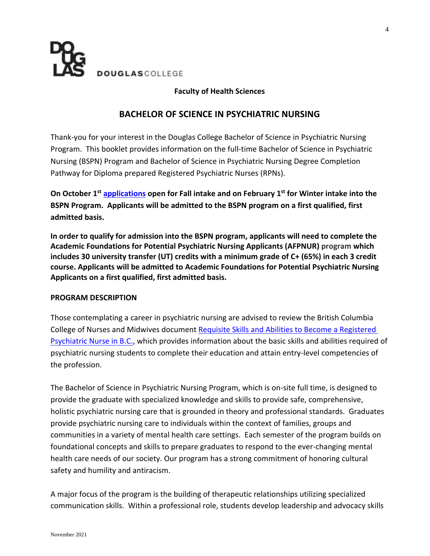

#### **Faculty of Health Sciences**

#### **BACHELOR OF SCIENCE IN PSYCHIATRIC NURSING**

Thank-you for your interest in the Douglas College Bachelor of Science in Psychiatric Nursing Program. This booklet provides information on the full-time Bachelor of Science in Psychiatric Nursing (BSPN) Program and Bachelor of Science in Psychiatric Nursing Degree Completion Pathway for Diploma prepared Registered Psychiatric Nurses (RPNs).

**On October 1 st [applications](http://www.douglascollege.ca/study-at-douglas/apply/canadian-students/when-to-apply) open for Fall intake and on February 1 st for Winter intake into the BSPN Program. Applicants will be admitted to the BSPN program on a first qualified, first admitted basis.**

**In order to qualify for admission into the BSPN program, applicants will need to complete the Academic Foundations for Potential Psychiatric Nursing Applicants (AFPNUR) program which includes 30 university transfer (UT) credits with a minimum grade of C+ (65%) in each 3 credit course. Applicants will be admitted to Academic Foundations for Potential Psychiatric Nursing Applicants on a first qualified, first admitted basis.**

#### **PROGRAM DESCRIPTION**

Those contemplating a career in psychiatric nursing are advised to review the British Columbia College of Nurses and Midwives document [Requisite Skills and Abilities to Become a Registered](https://www.bccnm.ca/Documents/competencies_requisite_skills/RPN_requisite_skills_abilities.pdf)  [Psychiatric Nurse in B.C.,](https://www.bccnm.ca/Documents/competencies_requisite_skills/RPN_requisite_skills_abilities.pdf) which provides information about the basic skills and abilities required of psychiatric nursing students to complete their education and attain entry-level competencies of the profession.

The Bachelor of Science in Psychiatric Nursing Program, which is on-site full time, is designed to provide the graduate with specialized knowledge and skills to provide safe, comprehensive, holistic psychiatric nursing care that is grounded in theory and professional standards. Graduates provide psychiatric nursing care to individuals within the context of families, groups and communities in a variety of mental health care settings. Each semester of the program builds on foundational concepts and skills to prepare graduates to respond to the ever-changing mental health care needs of our society. Our program has a strong commitment of honoring cultural safety and humility and antiracism.

A major focus of the program is the building of therapeutic relationships utilizing specialized communication skills. Within a professional role, students develop leadership and advocacy skills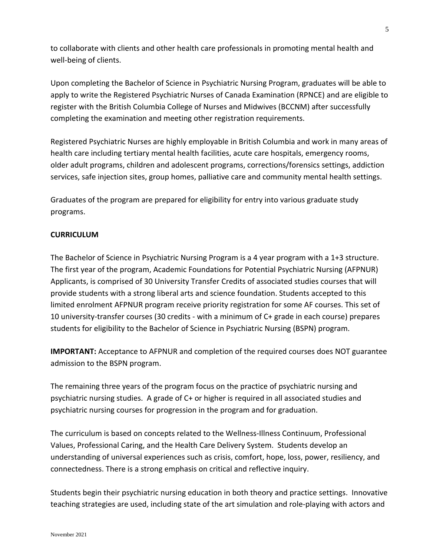to collaborate with clients and other health care professionals in promoting mental health and well-being of clients.

Upon completing the Bachelor of Science in Psychiatric Nursing Program, graduates will be able to apply to write the Registered Psychiatric Nurses of Canada Examination (RPNCE) and are eligible to register with the British Columbia College of Nurses and Midwives (BCCNM) after successfully completing the examination and meeting other registration requirements.

Registered Psychiatric Nurses are highly employable in British Columbia and work in many areas of health care including tertiary mental health facilities, acute care hospitals, emergency rooms, older adult programs, children and adolescent programs, corrections/forensics settings, addiction services, safe injection sites, group homes, palliative care and community mental health settings.

Graduates of the program are prepared for eligibility for entry into various graduate study programs.

#### **CURRICULUM**

The Bachelor of Science in Psychiatric Nursing Program is a 4 year program with a 1+3 structure. The first year of the program, Academic Foundations for Potential Psychiatric Nursing (AFPNUR) Applicants, is comprised of 30 University Transfer Credits of associated studies courses that will provide students with a strong liberal arts and science foundation. Students accepted to this limited enrolment AFPNUR program receive priority registration for some AF courses. This set of 10 university-transfer courses (30 credits - with a minimum of C+ grade in each course) prepares students for eligibility to the Bachelor of Science in Psychiatric Nursing (BSPN) program.

**IMPORTANT:** Acceptance to AFPNUR and completion of the required courses does NOT guarantee admission to the BSPN program.

The remaining three years of the program focus on the practice of psychiatric nursing and psychiatric nursing studies. A grade of C+ or higher is required in all associated studies and psychiatric nursing courses for progression in the program and for graduation.

The curriculum is based on concepts related to the Wellness-Illness Continuum, Professional Values, Professional Caring, and the Health Care Delivery System. Students develop an understanding of universal experiences such as crisis, comfort, hope, loss, power, resiliency, and connectedness. There is a strong emphasis on critical and reflective inquiry.

Students begin their psychiatric nursing education in both theory and practice settings. Innovative teaching strategies are used, including state of the art simulation and role-playing with actors and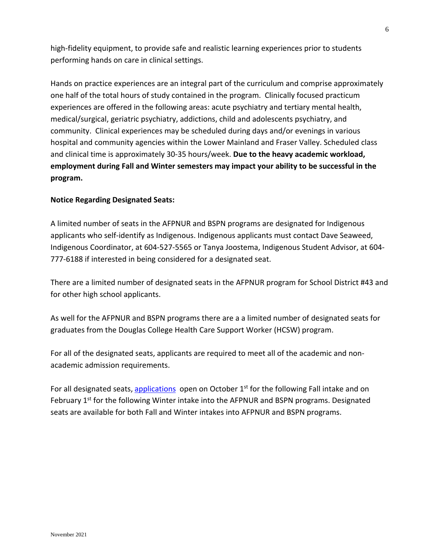high-fidelity equipment, to provide safe and realistic learning experiences prior to students performing hands on care in clinical settings.

Hands on practice experiences are an integral part of the curriculum and comprise approximately one half of the total hours of study contained in the program. Clinically focused practicum experiences are offered in the following areas: acute psychiatry and tertiary mental health, medical/surgical, geriatric psychiatry, addictions, child and adolescents psychiatry, and community. Clinical experiences may be scheduled during days and/or evenings in various hospital and community agencies within the Lower Mainland and Fraser Valley. Scheduled class and clinical time is approximately 30-35 hours/week. **Due to the heavy academic workload, employment during Fall and Winter semesters may impact your ability to be successful in the program.**

#### **Notice Regarding Designated Seats:**

A limited number of seats in the AFPNUR and BSPN programs are designated for Indigenous applicants who self-identify as Indigenous. Indigenous applicants must contact Dave Seaweed, Indigenous Coordinator, at 604-527-5565 or Tanya Joostema, Indigenous Student Advisor, at 604- 777-6188 if interested in being considered for a designated seat.

There are a limited number of designated seats in the AFPNUR program for School District #43 and for other high school applicants.

As well for the AFPNUR and BSPN programs there are a a limited number of designated seats for graduates from the Douglas College Health Care Support Worker (HCSW) program.

For all of the designated seats, applicants are required to meet all of the academic and nonacademic admission requirements.

For all designated seats, [applications](http://www.douglascollege.ca/study-at-douglas/apply/canadian-students/when-to-apply) open on October  $1<sup>st</sup>$  for the following Fall intake and on February 1<sup>st</sup> for the following Winter intake into the AFPNUR and BSPN programs. Designated seats are available for both Fall and Winter intakes into AFPNUR and BSPN programs.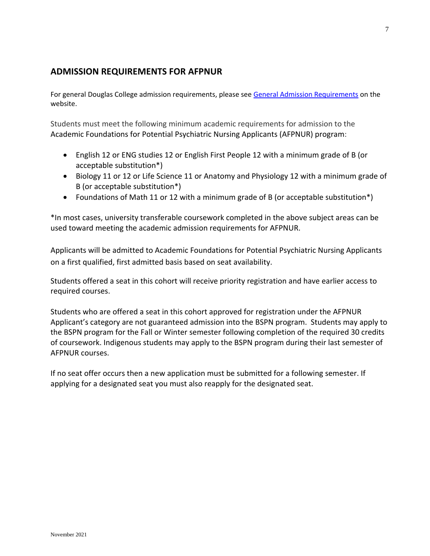## **ADMISSION REQUIREMENTS FOR AFPNUR**

For general Douglas College admission requirements, please see [General Admission Requirements](http://www.douglascollege.ca/programs-courses/general-information/admissions) on the website.

Students must meet the following minimum academic requirements for admission to the Academic Foundations for Potential Psychiatric Nursing Applicants (AFPNUR) program:

- English 12 or ENG studies 12 or English First People 12 with a minimum grade of B (or acceptable substitution\*)
- Biology 11 or 12 or Life Science 11 or Anatomy and Physiology 12 with a minimum grade of B (or acceptable substitution\*)
- Foundations of Math 11 or 12 with a minimum grade of B (or acceptable substitution\*)

\*In most cases, university transferable coursework completed in the above subject areas can be used toward meeting the academic admission requirements for AFPNUR.

Applicants will be admitted to Academic Foundations for Potential Psychiatric Nursing Applicants on a first qualified, first admitted basis based on seat availability.

Students offered a seat in this cohort will receive priority registration and have earlier access to required courses.

Students who are offered a seat in this cohort approved for registration under the AFPNUR Applicant's category are not guaranteed admission into the BSPN program. Students may apply to the BSPN program for the Fall or Winter semester following completion of the required 30 credits of coursework. Indigenous students may apply to the BSPN program during their last semester of AFPNUR courses.

If no seat offer occurs then a new application must be submitted for a following semester. If applying for a designated seat you must also reapply for the designated seat.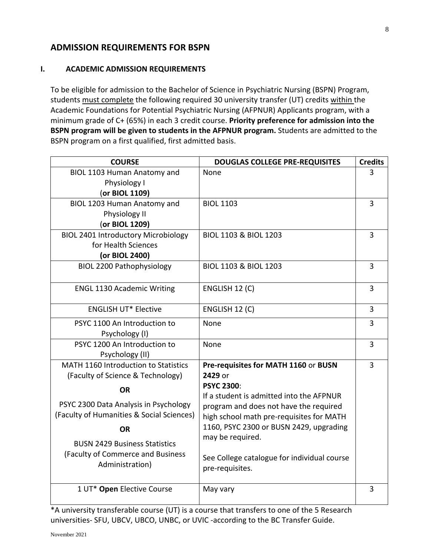## **ADMISSION REQUIREMENTS FOR BSPN**

#### **I. ACADEMIC ADMISSION REQUIREMENTS**

To be eligible for admission to the Bachelor of Science in Psychiatric Nursing (BSPN) Program, students must complete the following required 30 university transfer (UT) credits within the Academic Foundations for Potential Psychiatric Nursing (AFPNUR) Applicants program, with a minimum grade of C+ (65%) in each 3 credit course. **Priority preference for admission into the BSPN program will be given to students in the AFPNUR program.** Students are admitted to the BSPN program on a first qualified, first admitted basis.

| <b>COURSE</b>                                                                                                                                                                                                | <b>DOUGLAS COLLEGE PRE-REQUISITES</b>                                                                                                                                                                                                                                                | <b>Credits</b> |
|--------------------------------------------------------------------------------------------------------------------------------------------------------------------------------------------------------------|--------------------------------------------------------------------------------------------------------------------------------------------------------------------------------------------------------------------------------------------------------------------------------------|----------------|
| BIOL 1103 Human Anatomy and<br>Physiology I<br>(or BIOL 1109)                                                                                                                                                | None                                                                                                                                                                                                                                                                                 | 3              |
| BIOL 1203 Human Anatomy and<br>Physiology II<br>(or BIOL 1209)                                                                                                                                               | <b>BIOL 1103</b>                                                                                                                                                                                                                                                                     | 3              |
| <b>BIOL 2401 Introductory Microbiology</b><br>for Health Sciences<br>(or BIOL 2400)                                                                                                                          | BIOL 1103 & BIOL 1203                                                                                                                                                                                                                                                                | 3              |
| <b>BIOL 2200 Pathophysiology</b>                                                                                                                                                                             | BIOL 1103 & BIOL 1203                                                                                                                                                                                                                                                                | 3              |
| <b>ENGL 1130 Academic Writing</b>                                                                                                                                                                            | ENGLISH 12 (C)                                                                                                                                                                                                                                                                       | 3              |
| <b>ENGLISH UT* Elective</b>                                                                                                                                                                                  | ENGLISH 12 (C)                                                                                                                                                                                                                                                                       | $\overline{3}$ |
| PSYC 1100 An Introduction to<br>Psychology (I)                                                                                                                                                               | None                                                                                                                                                                                                                                                                                 | 3              |
| PSYC 1200 An Introduction to<br>Psychology (II)                                                                                                                                                              | None                                                                                                                                                                                                                                                                                 | 3              |
| MATH 1160 Introduction to Statistics<br>(Faculty of Science & Technology)                                                                                                                                    | Pre-requisites for MATH 1160 or BUSN<br>2429 or                                                                                                                                                                                                                                      | 3              |
| <b>OR</b><br>PSYC 2300 Data Analysis in Psychology<br>(Faculty of Humanities & Social Sciences)<br><b>OR</b><br><b>BUSN 2429 Business Statistics</b><br>(Faculty of Commerce and Business<br>Administration) | <b>PSYC 2300:</b><br>If a student is admitted into the AFPNUR<br>program and does not have the required<br>high school math pre-requisites for MATH<br>1160, PSYC 2300 or BUSN 2429, upgrading<br>may be required.<br>See College catalogue for individual course<br>pre-requisites. |                |
| 1 UT* Open Elective Course                                                                                                                                                                                   | May vary                                                                                                                                                                                                                                                                             | 3              |

\*A university transferable course (UT) is a course that transfers to one of the 5 Research universities- SFU, UBCV, UBCO, UNBC, or UVIC -according to the BC Transfer Guide.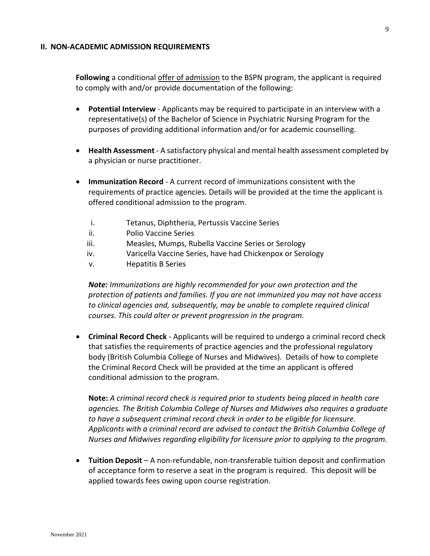#### **II. NON-ACADEMIC ADMISSION REQUIREMENTS**

**Following** a conditional offer of admission to the BSPN program, the applicant is required to comply with and/or provide documentation of the following:

- **Potential Interview**  Applicants may be required to participate in an interview with a representative(s) of the Bachelor of Science in Psychiatric Nursing Program for the purposes of providing additional information and/or for academic counselling.
- **Health Assessment**  A satisfactory physical and mental health assessment completed by a physician or nurse practitioner.
- **Immunization Record** A current record of immunizations consistent with the requirements of practice agencies. Details will be provided at the time the applicant is offered conditional admission to the program.
	- i. Tetanus, Diphtheria, Pertussis Vaccine Series
	- ii. Polio Vaccine Series
	- iii. Measles, Mumps, Rubella Vaccine Series or Serology
	- iv. Varicella Vaccine Series, have had Chickenpox or Serology
	- v. Hepatitis B Series

*Note: Immunizations are highly recommended for your own protection and the protection of patients and families. If you are not immunized you may not have access to clinical agencies and, subsequently, may be unable to complete required clinical courses. This could alter or prevent progression in the program.*

 **Criminal Record Check** - Applicants will be required to undergo a criminal record check that satisfies the requirements of practice agencies and the professional regulatory body (British Columbia College of Nurses and Midwives). Details of how to complete the Criminal Record Check will be provided at the time an applicant is offered conditional admission to the program.

**Note:** *A criminal record check is required prior to students being placed in health care agencies. The British Columbia College of Nurses and Midwives al*s*o requires a graduate to have a subsequent criminal record check in order to be eligible for licensure. Applicants with a criminal record are advised to contact the British Columbia College of Nurses and Midwives regarding eligibility for licensure prior to applying to the program.*

 **Tuition Deposit** – A non-refundable, non-transferable tuition deposit and confirmation of acceptance form to reserve a seat in the program is required. This deposit will be applied towards fees owing upon course registration.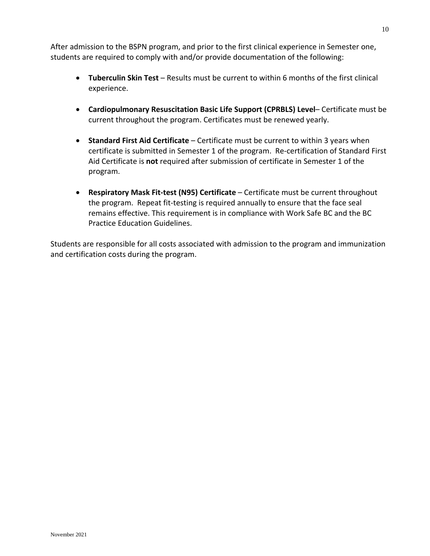After admission to the BSPN program, and prior to the first clinical experience in Semester one, students are required to comply with and/or provide documentation of the following:

- **Tuberculin Skin Test** Results must be current to within 6 months of the first clinical experience.
- **Cardiopulmonary Resuscitation Basic Life Support (CPRBLS) Level** Certificate must be current throughout the program. Certificates must be renewed yearly.
- **Standard First Aid Certificate**  Certificate must be current to within 3 years when certificate is submitted in Semester 1 of the program. Re-certification of Standard First Aid Certificate is **not** required after submission of certificate in Semester 1 of the program.
- **Respiratory Mask Fit-test (N95) Certificate** Certificate must be current throughout the program. Repeat fit-testing is required annually to ensure that the face seal remains effective. This requirement is in compliance with Work Safe BC and the BC Practice Education Guidelines.

Students are responsible for all costs associated with admission to the program and immunization and certification costs during the program.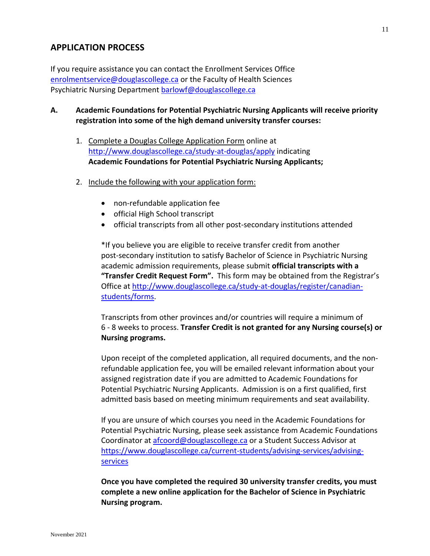## **APPLICATION PROCESS**

If you require assistance you can contact the Enrollment Services Office [enrolmentservice@douglascollege.ca](mailto:enrolmentservice@douglascollege.ca) or the Faculty of Health Sciences Psychiatric Nursing Department [barlowf@douglascollege.ca](mailto:barlowf@douglascollege.ca)

- **A. Academic Foundations for Potential Psychiatric Nursing Applicants will receive priority registration into some of the high demand university transfer courses:**
	- 1. Complete a Douglas College Application Form online at <http://www.douglascollege.ca/study-at-douglas/apply> indicating **Academic Foundations for Potential Psychiatric Nursing Applicants;**
	- 2. Include the following with your application form:
		- non-refundable application fee
		- official High School transcript
		- official transcripts from all other post-secondary institutions attended

\*If you believe you are eligible to receive transfer credit from another post-secondary institution to satisfy Bachelor of Science in Psychiatric Nursing academic admission requirements, please submit **official transcripts with a "Transfer Credit Request Form".** This form may be obtained from the Registrar's Office at [http://www.douglascollege.ca/study-at-douglas/register/canadian](http://www.douglascollege.ca/study-at-douglas/register/canadian-students/forms)[students/forms.](http://www.douglascollege.ca/study-at-douglas/register/canadian-students/forms)

Transcripts from other provinces and/or countries will require a minimum of 6 - 8 weeks to process. **Transfer Credit is not granted for any Nursing course(s) or Nursing programs.**

Upon receipt of the completed application, all required documents, and the nonrefundable application fee, you will be emailed relevant information about your assigned registration date if you are admitted to Academic Foundations for Potential Psychiatric Nursing Applicants. Admission is on a first qualified, first admitted basis based on meeting minimum requirements and seat availability.

If you are unsure of which courses you need in the Academic Foundations for Potential Psychiatric Nursing, please seek assistance from Academic Foundations Coordinator at [afcoord@douglascollege.ca](mailto:afcoord@douglascollege.ca) or a Student Success Advisor at [https://www.douglascollege.ca/current-students/advising-services/advising](https://www.douglascollege.ca/current-students/advising-services/advising-services)[services](https://www.douglascollege.ca/current-students/advising-services/advising-services)

**Once you have completed the required 30 university transfer credits, you must complete a new online application for the Bachelor of Science in Psychiatric Nursing program.**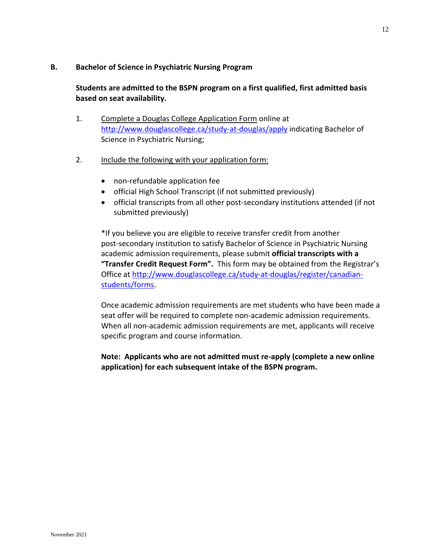#### **B. Bachelor of Science in Psychiatric Nursing Program**

## **Students are admitted to the BSPN program on a first qualified, first admitted basis based on seat availability.**

- 1. Complete a Douglas College Application Form online at <http://www.douglascollege.ca/study-at-douglas/apply> indicating Bachelor of Science in Psychiatric Nursing;
- 2. Include the following with your application form:
	- non-refundable application fee
	- official High School Transcript (if not submitted previously)
	- official transcripts from all other post-secondary institutions attended (if not submitted previously)

\*If you believe you are eligible to receive transfer credit from another post-secondary institution to satisfy Bachelor of Science in Psychiatric Nursing academic admission requirements, please submit **official transcripts with a "Transfer Credit Request Form".** This form may be obtained from the Registrar's Office at [http://www.douglascollege.ca/study-at-douglas/register/canadian](http://www.douglascollege.ca/study-at-douglas/register/canadian-students/forms)[students/forms.](http://www.douglascollege.ca/study-at-douglas/register/canadian-students/forms)

Once academic admission requirements are met students who have been made a seat offer will be required to complete non-academic admission requirements. When all non-academic admission requirements are met, applicants will receive specific program and course information.

**Note: Applicants who are not admitted must re-apply (complete a new online application) for each subsequent intake of the BSPN program.**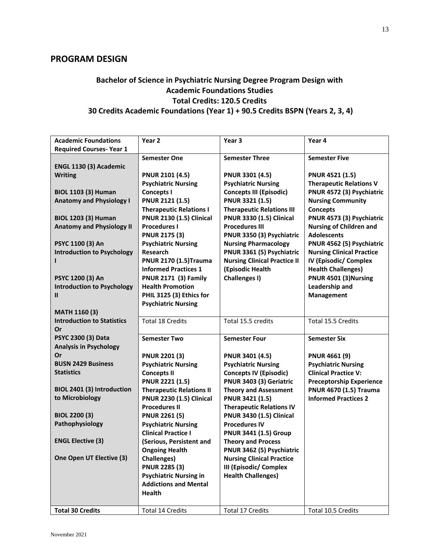## **PROGRAM DESIGN**

## **Bachelor of Science in Psychiatric Nursing Degree Program Design with Academic Foundations Studies Total Credits: 120.5 Credits 30 Credits Academic Foundations (Year 1) + 90.5 Credits BSPN (Years 2, 3, 4)**

| <b>Academic Foundations</b>       | Year 2                          | Year <sub>3</sub>                   | Year 4                           |
|-----------------------------------|---------------------------------|-------------------------------------|----------------------------------|
| <b>Required Courses- Year 1</b>   |                                 |                                     |                                  |
|                                   | <b>Semester One</b>             | <b>Semester Three</b>               | <b>Semester Five</b>             |
| ENGL 1130 (3) Academic            |                                 |                                     |                                  |
| <b>Writing</b>                    | <b>PNUR 2101 (4.5)</b>          | <b>PNUR 3301 (4.5)</b>              | <b>PNUR 4521 (1.5)</b>           |
|                                   | <b>Psychiatric Nursing</b>      | <b>Psychiatric Nursing</b>          | <b>Therapeutic Relations V</b>   |
| <b>BIOL 1103 (3) Human</b>        | <b>Concepts I</b>               | <b>Concepts III (Episodic)</b>      | PNUR 4572 (3) Psychiatric        |
| <b>Anatomy and Physiology I</b>   | <b>PNUR 2121 (1.5)</b>          | PNUR 3321 (1.5)                     | <b>Nursing Community</b>         |
|                                   | <b>Therapeutic Relations I</b>  | <b>Therapeutic Relations III</b>    | <b>Concepts</b>                  |
| <b>BIOL 1203 (3) Human</b>        | <b>PNUR 2130 (1.5) Clinical</b> | <b>PNUR 3330 (1.5) Clinical</b>     | PNUR 4573 (3) Psychiatric        |
| <b>Anatomy and Physiology II</b>  | <b>Procedures I</b>             | <b>Procedures III</b>               | <b>Nursing of Children and</b>   |
|                                   | <b>PNUR 2175 (3)</b>            | PNUR 3350 (3) Psychiatric           | <b>Adolescents</b>               |
| PSYC 1100 (3) An                  | <b>Psychiatric Nursing</b>      | <b>Nursing Pharmacology</b>         | PNUR 4562 (5) Psychiatric        |
| <b>Introduction to Psychology</b> | <b>Research</b>                 | PNUR 3361 (5) Psychiatric           | <b>Nursing Clinical Practice</b> |
|                                   | <b>PNUR 2170 (1.5) Trauma</b>   | <b>Nursing Clinical Practice II</b> | IV (Episodic/ Complex            |
|                                   | <b>Informed Practices 1</b>     | (Episodic Health                    | <b>Health Challenges)</b>        |
| PSYC 1200 (3) An                  | <b>PNUR 2171 (3) Family</b>     | Challenges I)                       | PNUR 4501 (3) Nursing            |
| <b>Introduction to Psychology</b> | <b>Health Promotion</b>         |                                     | Leadership and                   |
| $\mathbf{I}$                      | PHIL 3125 (3) Ethics for        |                                     | Management                       |
|                                   | <b>Psychiatric Nursing</b>      |                                     |                                  |
| <b>MATH 1160 (3)</b>              |                                 |                                     |                                  |
| <b>Introduction to Statistics</b> | <b>Total 18 Credits</b>         | Total 15.5 credits                  | Total 15.5 Credits               |
| Or                                |                                 |                                     |                                  |
| PSYC 2300 (3) Data                | <b>Semester Two</b>             | <b>Semester Four</b>                | <b>Semester Six</b>              |
| <b>Analysis in Psychology</b>     |                                 |                                     |                                  |
| Or                                | <b>PNUR 2201 (3)</b>            | <b>PNUR 3401 (4.5)</b>              | <b>PNUR 4661 (9)</b>             |
| <b>BUSN 2429 Business</b>         | <b>Psychiatric Nursing</b>      | <b>Psychiatric Nursing</b>          | <b>Psychiatric Nursing</b>       |
| <b>Statistics</b>                 | <b>Concepts II</b>              | <b>Concepts IV (Episodic)</b>       | <b>Clinical Practice V:</b>      |
|                                   | <b>PNUR 2221 (1.5)</b>          | PNUR 3403 (3) Geriatric             | <b>Preceptorship Experience</b>  |
| BIOL 2401 (3) Introduction        | <b>Therapeutic Relations II</b> | <b>Theory and Assessment</b>        | <b>PNUR 4670 (1.5) Trauma</b>    |
| to Microbiology                   | <b>PNUR 2230 (1.5) Clinical</b> | <b>PNUR 3421 (1.5)</b>              | <b>Informed Practices 2</b>      |
|                                   | <b>Procedures II</b>            | <b>Therapeutic Relations IV</b>     |                                  |
| <b>BIOL 2200 (3)</b>              | <b>PNUR 2261 (5)</b>            | <b>PNUR 3430 (1.5) Clinical</b>     |                                  |
| Pathophysiology                   | <b>Psychiatric Nursing</b>      | <b>Procedures IV</b>                |                                  |
|                                   | <b>Clinical Practice I</b>      | <b>PNUR 3441 (1.5) Group</b>        |                                  |
| <b>ENGL Elective (3)</b>          | (Serious, Persistent and        | <b>Theory and Process</b>           |                                  |
|                                   | <b>Ongoing Health</b>           | PNUR 3462 (5) Psychiatric           |                                  |
| One Open UT Elective (3)          | <b>Challenges)</b>              | <b>Nursing Clinical Practice</b>    |                                  |
|                                   | <b>PNUR 2285 (3)</b>            | <b>III (Episodic/ Complex</b>       |                                  |
|                                   | <b>Psychiatric Nursing in</b>   | <b>Health Challenges)</b>           |                                  |
|                                   | <b>Addictions and Mental</b>    |                                     |                                  |
|                                   | <b>Health</b>                   |                                     |                                  |
|                                   |                                 |                                     |                                  |
| <b>Total 30 Credits</b>           | <b>Total 14 Credits</b>         | Total 17 Credits                    | Total 10.5 Credits               |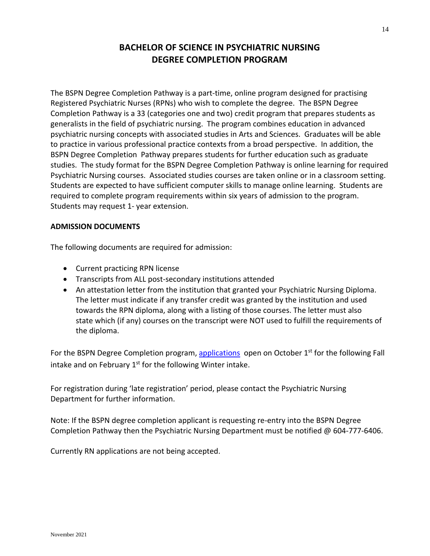## **BACHELOR OF SCIENCE IN PSYCHIATRIC NURSING DEGREE COMPLETION PROGRAM**

The BSPN Degree Completion Pathway is a part-time, online program designed for practising Registered Psychiatric Nurses (RPNs) who wish to complete the degree. The BSPN Degree Completion Pathway is a 33 (categories one and two) credit program that prepares students as generalists in the field of psychiatric nursing. The program combines education in advanced psychiatric nursing concepts with associated studies in Arts and Sciences. Graduates will be able to practice in various professional practice contexts from a broad perspective. In addition, the BSPN Degree Completion Pathway prepares students for further education such as graduate studies. The study format for the BSPN Degree Completion Pathway is online learning for required Psychiatric Nursing courses. Associated studies courses are taken online or in a classroom setting. Students are expected to have sufficient computer skills to manage online learning. Students are required to complete program requirements within six years of admission to the program. Students may request 1- year extension.

#### **ADMISSION DOCUMENTS**

The following documents are required for admission:

- Current practicing RPN license
- Transcripts from ALL post-secondary institutions attended
- An attestation letter from the institution that granted your Psychiatric Nursing Diploma. The letter must indicate if any transfer credit was granted by the institution and used towards the RPN diploma, along with a listing of those courses. The letter must also state which (if any) courses on the transcript were NOT used to fulfill the requirements of the diploma.

For the BSPN Degree Completion program, [applications](http://www.douglascollege.ca/study-at-douglas/apply/canadian-students/when-to-apply) open on October  $1<sup>st</sup>$  for the following Fall intake and on February  $1<sup>st</sup>$  for the following Winter intake.

For registration during 'late registration' period, please contact the Psychiatric Nursing Department for further information.

Note: If the BSPN degree completion applicant is requesting re-entry into the BSPN Degree Completion Pathway then the Psychiatric Nursing Department must be notified @ 604-777-6406.

Currently RN applications are not being accepted.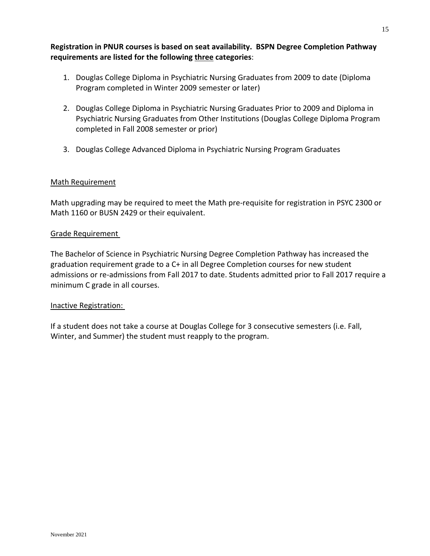**Registration in PNUR courses is based on seat availability. BSPN Degree Completion Pathway requirements are listed for the following three categories**:

- 1. Douglas College Diploma in Psychiatric Nursing Graduates from 2009 to date (Diploma Program completed in Winter 2009 semester or later)
- 2. Douglas College Diploma in Psychiatric Nursing Graduates Prior to 2009 and Diploma in Psychiatric Nursing Graduates from Other Institutions (Douglas College Diploma Program completed in Fall 2008 semester or prior)
- 3. Douglas College Advanced Diploma in Psychiatric Nursing Program Graduates

#### Math Requirement

Math upgrading may be required to meet the Math pre-requisite for registration in PSYC 2300 or Math 1160 or BUSN 2429 or their equivalent.

#### Grade Requirement

The Bachelor of Science in Psychiatric Nursing Degree Completion Pathway has increased the graduation requirement grade to a C+ in all Degree Completion courses for new student admissions or re-admissions from Fall 2017 to date. Students admitted prior to Fall 2017 require a minimum C grade in all courses.

#### Inactive Registration:

If a student does not take a course at Douglas College for 3 consecutive semesters (i.e. Fall, Winter, and Summer) the student must reapply to the program.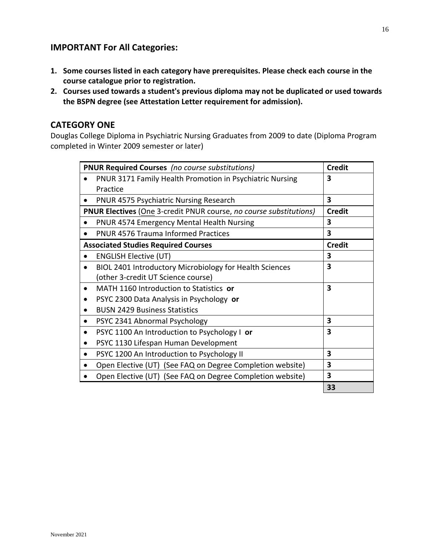## **IMPORTANT For All Categories:**

- **1. Some courses listed in each category have prerequisites. Please check each course in the course catalogue prior to registration.**
- **2. Courses used towards a student's previous diploma may not be duplicated or used towards the BSPN degree (see Attestation Letter requirement for admission).**

## **CATEGORY ONE**

Douglas College Diploma in Psychiatric Nursing Graduates from 2009 to date (Diploma Program completed in Winter 2009 semester or later)

| <b>PNUR Required Courses</b> (no course substitutions)                    | <b>Credit</b> |
|---------------------------------------------------------------------------|---------------|
| <b>PNUR 3171 Family Health Promotion in Psychiatric Nursing</b>           | 3             |
| Practice                                                                  |               |
| <b>PNUR 4575 Psychiatric Nursing Research</b><br>$\bullet$                | 3             |
| <b>PNUR Electives (One 3-credit PNUR course, no course substitutions)</b> | <b>Credit</b> |
| PNUR 4574 Emergency Mental Health Nursing                                 | 3             |
| <b>PNUR 4576 Trauma Informed Practices</b><br>$\bullet$                   | 3             |
| <b>Associated Studies Required Courses</b>                                | <b>Credit</b> |
| <b>ENGLISH Elective (UT)</b><br>$\bullet$                                 | 3             |
| BIOL 2401 Introductory Microbiology for Health Sciences<br>$\bullet$      | 3             |
| (other 3-credit UT Science course)                                        |               |
| MATH 1160 Introduction to Statistics or                                   | 3             |
| PSYC 2300 Data Analysis in Psychology or                                  |               |
| <b>BUSN 2429 Business Statistics</b>                                      |               |
| PSYC 2341 Abnormal Psychology<br>$\bullet$                                | 3             |
| PSYC 1100 An Introduction to Psychology I or<br>$\bullet$                 | 3             |
| PSYC 1130 Lifespan Human Development                                      |               |
| PSYC 1200 An Introduction to Psychology II                                | 3             |
| Open Elective (UT) (See FAQ on Degree Completion website)                 | 3             |
| Open Elective (UT) (See FAQ on Degree Completion website)                 | 3             |
|                                                                           | 33            |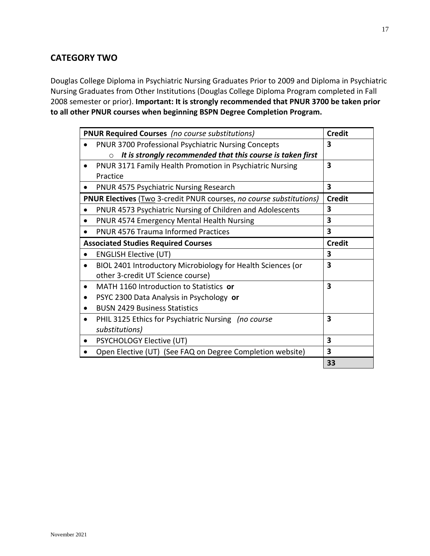## **CATEGORY TWO**

Douglas College Diploma in Psychiatric Nursing Graduates Prior to 2009 and Diploma in Psychiatric Nursing Graduates from Other Institutions (Douglas College Diploma Program completed in Fall 2008 semester or prior). **Important: It is strongly recommended that PNUR 3700 be taken prior to all other PNUR courses when beginning BSPN Degree Completion Program.**

| <b>PNUR Required Courses</b> (no course substitutions)                     | <b>Credit</b>           |
|----------------------------------------------------------------------------|-------------------------|
| <b>PNUR 3700 Professional Psychiatric Nursing Concepts</b>                 | 3                       |
| It is strongly recommended that this course is taken first<br>$\circ$      |                         |
| PNUR 3171 Family Health Promotion in Psychiatric Nursing<br>$\bullet$      | 3                       |
| Practice                                                                   |                         |
| <b>PNUR 4575 Psychiatric Nursing Research</b><br>$\bullet$                 | 3                       |
| <b>PNUR Electives</b> (Two 3-credit PNUR courses, no course substitutions) | <b>Credit</b>           |
| PNUR 4573 Psychiatric Nursing of Children and Adolescents<br>$\bullet$     | 3                       |
| PNUR 4574 Emergency Mental Health Nursing<br>$\bullet$                     | 3                       |
| <b>PNUR 4576 Trauma Informed Practices</b><br>$\bullet$                    | 3                       |
| <b>Associated Studies Required Courses</b>                                 | <b>Credit</b>           |
| <b>ENGLISH Elective (UT)</b><br>$\bullet$                                  | 3                       |
| BIOL 2401 Introductory Microbiology for Health Sciences (or<br>$\bullet$   | $\overline{\mathbf{3}}$ |
| other 3-credit UT Science course)                                          |                         |
| MATH 1160 Introduction to Statistics or<br>$\bullet$                       | 3                       |
| PSYC 2300 Data Analysis in Psychology or                                   |                         |
| <b>BUSN 2429 Business Statistics</b><br>$\bullet$                          |                         |
| PHIL 3125 Ethics for Psychiatric Nursing (no course<br>$\bullet$           | 3                       |
| substitutions)                                                             |                         |
| PSYCHOLOGY Elective (UT)<br>$\bullet$                                      | 3                       |
| Open Elective (UT) (See FAQ on Degree Completion website)                  | 3                       |
|                                                                            | 33                      |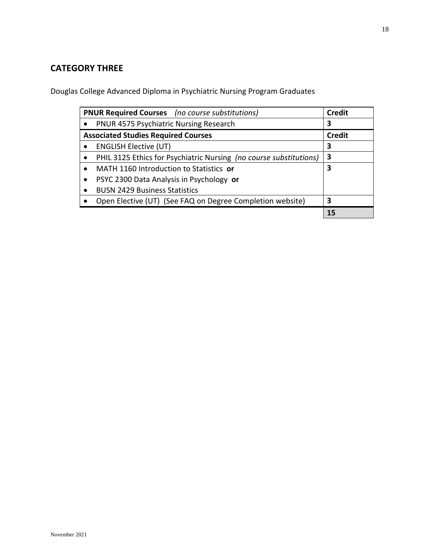## **CATEGORY THREE**

Douglas College Advanced Diploma in Psychiatric Nursing Program Graduates

| <b>PNUR Required Courses</b> (no course substitutions)             | <b>Credit</b> |
|--------------------------------------------------------------------|---------------|
| PNUR 4575 Psychiatric Nursing Research                             | 3             |
| <b>Associated Studies Required Courses</b>                         | <b>Credit</b> |
| <b>ENGLISH Elective (UT)</b><br>$\bullet$                          | 3             |
| PHIL 3125 Ethics for Psychiatric Nursing (no course substitutions) | 3             |
| MATH 1160 Introduction to Statistics or<br>$\bullet$               | 3             |
| PSYC 2300 Data Analysis in Psychology or<br>$\bullet$              |               |
| <b>BUSN 2429 Business Statistics</b><br>٠                          |               |
| Open Elective (UT) (See FAQ on Degree Completion website)          | 3             |
|                                                                    | 15            |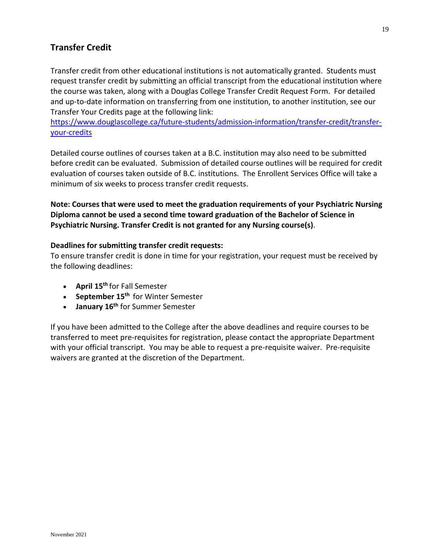## **Transfer Credit**

Transfer credit from other educational institutions is not automatically granted. Students must request transfer credit by submitting an official transcript from the educational institution where the course was taken, along with a Douglas College Transfer Credit Request Form. For detailed and up-to-date information on transferring from one institution, to another institution, see our Transfer Your Credits page at the following link:

[https://www.douglascollege.ca/future-students/admission-information/transfer-credit/transfer](https://www.douglascollege.ca/future-students/admission-information/transfer-credit/transfer-your-credits)[your-credits](https://www.douglascollege.ca/future-students/admission-information/transfer-credit/transfer-your-credits)

Detailed course outlines of courses taken at a B.C. institution may also need to be submitted before credit can be evaluated. Submission of detailed course outlines will be required for credit evaluation of courses taken outside of B.C. institutions. The Enrollent Services Office will take a minimum of six weeks to process transfer credit requests.

**Note: Courses that were used to meet the graduation requirements of your Psychiatric Nursing Diploma cannot be used a second time toward graduation of the Bachelor of Science in Psychiatric Nursing. Transfer Credit is not granted for any Nursing course(s)**.

#### **Deadlines for submitting transfer credit requests:**

To ensure transfer credit is done in time for your registration, your request must be received by the following deadlines:

- **April 15th** for Fall Semester
- **September 15th** for Winter Semester
- **January 16th** for Summer Semester

If you have been admitted to the College after the above deadlines and require courses to be transferred to meet pre-requisites for registration, please contact the appropriate Department with your official transcript. You may be able to request a pre-requisite waiver. Pre-requisite waivers are granted at the discretion of the Department.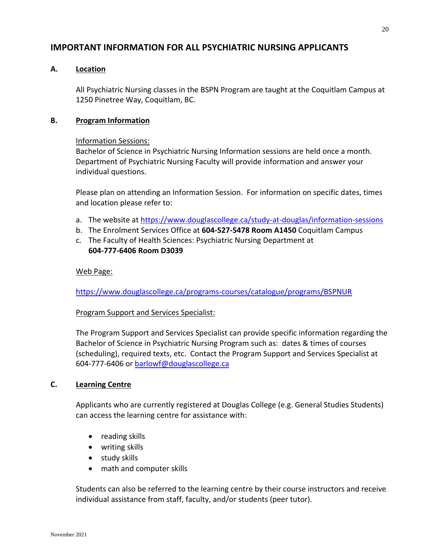## **IMPORTANT INFORMATION FOR ALL PSYCHIATRIC NURSING APPLICANTS**

#### **A. Location**

All Psychiatric Nursing classes in the BSPN Program are taught at the Coquitlam Campus at 1250 Pinetree Way, Coquitlam, BC.

#### **B. Program Information**

#### Information Sessions:

Bachelor of Science in Psychiatric Nursing Information sessions are held once a month. Department of Psychiatric Nursing Faculty will provide information and answer your individual questions.

Please plan on attending an Information Session. For information on specific dates, times and location please refer to:

- a. The website at<https://www.douglascollege.ca/study-at-douglas/information-sessions>
- b. The Enrolment Services Office at **604-527-5478 Room A1450** Coquitlam Campus
- c. The Faculty of Health Sciences: Psychiatric Nursing Department at **604-777-6406 Room D3039**

#### Web Page:

<https://www.douglascollege.ca/programs-courses/catalogue/programs/BSPNUR>

#### Program Support and Services Specialist:

The Program Support and Services Specialist can provide specific information regarding the Bachelor of Science in Psychiatric Nursing Program such as: dates & times of courses (scheduling), required texts, etc. Contact the Program Support and Services Specialist at 604-777-6406 or [barlowf@douglascollege.ca](mailto:barlowf@douglascollege.ca)

#### **C. Learning Centre**

Applicants who are currently registered at Douglas College (e.g. General Studies Students) can access the learning centre for assistance with:

- reading skills
- writing skills
- study skills
- math and computer skills

Students can also be referred to the learning centre by their course instructors and receive individual assistance from staff, faculty, and/or students (peer tutor).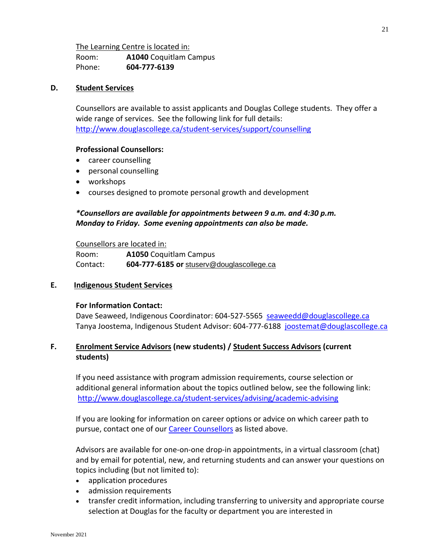## The Learning Centre is located in:

Room: **A1040** Coquitlam Campus Phone: **604-777-6139**

#### **D. Student Services**

Counsellors are available to assist applicants and Douglas College students. They offer a wide range of services. See the following link for full details: <http://www.douglascollege.ca/student-services/support/counselling>

#### **Professional Counsellors:**

- career counselling
- personal counselling
- workshops
- courses designed to promote personal growth and development

#### *\*Counsellors are available for appointments between 9 a.m. and 4:30 p.m. Monday to Friday. Some evening appointments can also be made.*

Counsellors are located in:

Room: **A1050** Coquitlam Campus Contact: **604-777-6185 or** [stuserv@douglascollege.ca](mailto:stuserv@douglascollege.ca)

#### **E. Indigenous Student Services**

#### **For Information Contact:**

Dave Seaweed, Indigenous Coordinator: 604-527-5565 [seaweedd@douglascollege.ca](mailto:seaweedd@douglascollege.ca) Tanya Joostema, Indigenous Student Advisor: 604-777-6188 [joostemat@douglascollege.ca](mailto:joostemat@douglascollege.ca)

#### **F. Enrolment Service Advisors (new students) / Student Success Advisors (current students)**

If you need assistance with program admission requirements, course selection or additional general information about the topics outlined below, see the following link: <http://www.douglascollege.ca/student-services/advising/academic-advising>

If you are looking for information on career options or advice on which career path to pursue, contact one of our [Career Counsellors](https://www.douglascollege.ca/student-services/student-support/counselling/career-counselling) as listed above.

Advisors are available for one-on-one drop-in appointments, in a virtual classroom (chat) and by email for potential, new, and returning students and can answer your questions on topics including (but not limited to):

- application procedures
- admission requirements
- transfer credit information, including transferring to university and appropriate course selection at Douglas for the faculty or department you are interested in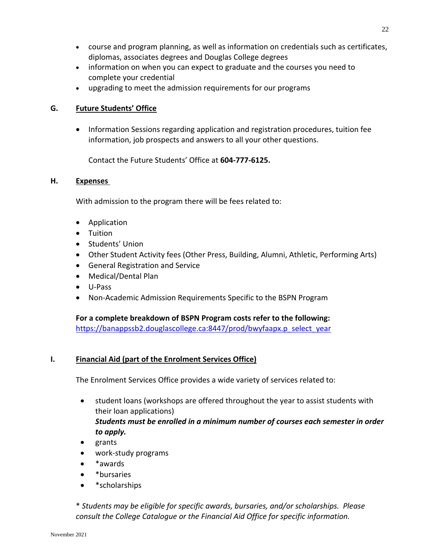- course and program planning, as well as information on credentials such as certificates, diplomas, associates degrees and Douglas College degrees
- information on when you can expect to graduate and the courses you need to complete your credential
- upgrading to meet the admission requirements for our programs

#### **G. Future Students' Office**

• Information Sessions regarding application and registration procedures, tuition fee information, job prospects and answers to all your other questions.

Contact the Future Students' Office at **604-777-6125.**

#### **H. Expenses**

With admission to the program there will be fees related to:

- Application
- Tuition
- **•** Students' Union
- Other Student Activity fees (Other Press, Building, Alumni, Athletic, Performing Arts)
- General Registration and Service
- Medical/Dental Plan
- U-Pass
- Non-Academic Admission Requirements Specific to the BSPN Program

**For a complete breakdown of BSPN Program costs refer to the following:**  [https://banappssb2.douglascollege.ca:8447/prod/bwyfaapx.p\\_select\\_year](https://banappssb2.douglascollege.ca:8447/prod/bwyfaapx.p_select_year)

#### **I. Financial Aid (part of the Enrolment Services Office)**

The Enrolment Services Office provides a wide variety of services related to:

- student loans (workshops are offered throughout the year to assist students with their loan applications) *Students must be enrolled in a minimum number of courses each semester in order to apply.*
- grants
- work-study programs
- \*awards
- \*bursaries
- \*scholarships

\* *Students may be eligible for specific awards, bursaries, and/or scholarships. Please consult the College Catalogue or the Financial Aid Office for specific information.*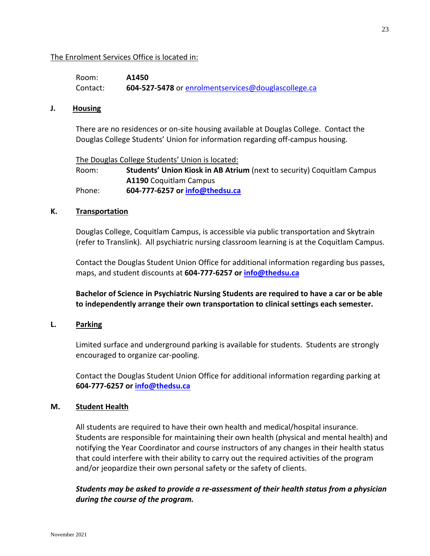#### The Enrolment Services Office is located in:

| Room:    | A1450                                               |
|----------|-----------------------------------------------------|
| Contact: | 604-527-5478 or enrolmentservices@douglascollege.ca |

#### **J. Housing**

There are no residences or on-site housing available at Douglas College. Contact the Douglas College Students' Union for information regarding off-campus housing.

The Douglas College Students' Union is located: Room: **Students' Union Kiosk in AB Atrium** (next to security) Coquitlam Campus **A1190** Coquitlam Campus Phone: **604-777-6257 or [info@thedsu.ca](mailto:info@thedsu.ca)**

#### **K. Transportation**

Douglas College, Coquitlam Campus, is accessible via public transportation and Skytrain (refer to Translink). All psychiatric nursing classroom learning is at the Coquitlam Campus.

Contact the Douglas Student Union Office for additional information regarding bus passes, maps, and student discounts at **604-777-6257 or [info@thedsu.ca](mailto:info@thedsu.ca)**

**Bachelor of Science in Psychiatric Nursing Students are required to have a car or be able to independently arrange their own transportation to clinical settings each semester.**

#### **L. Parking**

Limited surface and underground parking is available for students. Students are strongly encouraged to organize car-pooling.

Contact the Douglas Student Union Office for additional information regarding parking at **604-777-6257 or [info@thedsu.ca](mailto:info@thedsu.ca)**

#### **M. Student Health**

All students are required to have their own health and medical/hospital insurance. Students are responsible for maintaining their own health (physical and mental health) and notifying the Year Coordinator and course instructors of any changes in their health status that could interfere with their ability to carry out the required activities of the program and/or jeopardize their own personal safety or the safety of clients.

*Students may be asked to provide a re-assessment of their health status from a physician during the course of the program.*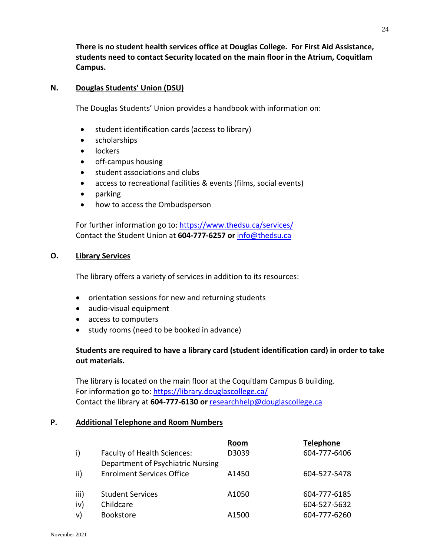**There is no student health services office at Douglas College. For First Aid Assistance, students need to contact Security located on the main floor in the Atrium, Coquitlam Campus.**

#### **N. Douglas Students' Union (DSU)**

The Douglas Students' Union provides a handbook with information on:

- student identification cards (access to library)
- scholarships
- lockers
- off-campus housing
- student associations and clubs
- access to recreational facilities & events (films, social events)
- parking
- how to access the Ombudsperson

For further information go to:<https://www.thedsu.ca/services/> Contact the Student Union at **604-777-6257 or** [info@thedsu.ca](mailto:info@thedsu.ca)

#### **O. Library Services**

The library offers a variety of services in addition to its resources:

- orientation sessions for new and returning students
- audio-visual equipment
- access to computers
- study rooms (need to be booked in advance)

#### **Students are required to have a library card (student identification card) in order to take out materials.**

The library is located on the main floor at the Coquitlam Campus B building. For information go to:<https://library.douglascollege.ca/> Contact the library at **604-777-6130 or** [researchhelp@douglascollege.ca](mailto:researchhelp@douglascollege.ca)

#### **P. Additional Telephone and Room Numbers**

|      |                                    | Room  | <b>Telephone</b> |
|------|------------------------------------|-------|------------------|
| i)   | <b>Faculty of Health Sciences:</b> | D3039 | 604-777-6406     |
|      | Department of Psychiatric Nursing  |       |                  |
| ii)  | <b>Enrolment Services Office</b>   | A1450 | 604-527-5478     |
|      |                                    |       |                  |
| iii) | <b>Student Services</b>            | A1050 | 604-777-6185     |
| iv)  | Childcare                          |       | 604-527-5632     |
| v)   | <b>Bookstore</b>                   | A1500 | 604-777-6260     |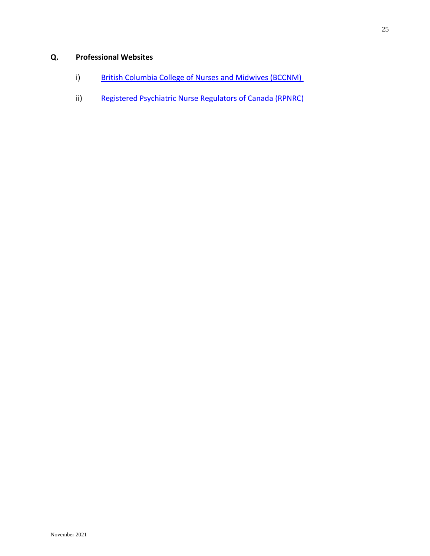## **Q. Professional Websites**

- i) [British Columbia College of Nurses](https://www.bccnp.ca/Pages/Default.aspx) and Midwives (BCCNM)
- ii) [Registered Psychiatric Nurse Regulators](http://www.rpnc.ca/) of Canada (RPNRC)